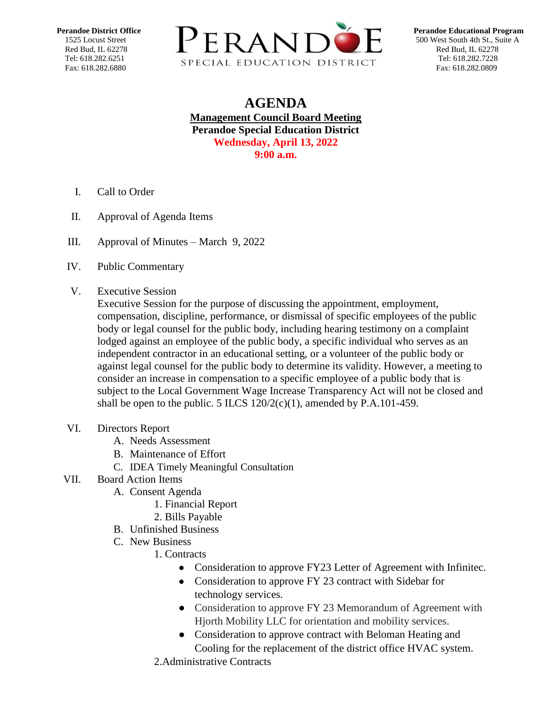

## **AGENDA Management Council Board Meeting Perandoe Special Education District Wednesday, April 13, 2022 9:00 a.m.**

- I. Call to Order
- II. Approval of Agenda Items
- III. [Approval of Minutes –](https://docs.google.com/document/d/1MF-XcIU5DulaAQIt2jURvVU-rtmdbnQY/edit?usp=sharing&ouid=111593008626251822305&rtpof=true&sd=true) March 9, 2022
- IV. Public Commentary
- V. Executive Session

Executive Session for the purpose of discussing the appointment, employment, compensation, discipline, performance, or dismissal of specific employees of the public body or legal counsel for the public body, including hearing testimony on a complaint lodged against an employee of the public body, a specific individual who serves as an independent contractor in an educational setting, or a volunteer of the public body or against legal counsel for the public body to determine its validity. However, a meeting to consider an increase in compensation to a specific employee of a public body that is subject to the Local Government Wage Increase Transparency Act will not be closed and shall be open to the public. 5 ILCS  $120/2(c)(1)$ , amended by P.A.101-459.

- VI. Directors Report
	- A. Needs Assessment
	- B. Maintenance of Effort
	- C. IDEA Timely Meaningful Consultation

## VII. Board Action Items

- A. Consent Agenda
	- 1. Financial Report
	- 2. Bills Payable
- B. Unfinished Business
- C. New Business
	- 1. Contracts
		- Consideration to approve FY23 Letter of Agreement with Infinitec.
		- Consideration to approve FY 23 contract with Sidebar for technology services.
		- Consideration to approve FY 23 Memorandum of Agreement with Hjorth Mobility LLC for orientation and mobility services.
		- Consideration to approve contract with Beloman Heating and Cooling for the replacement of the district office HVAC system.
	- 2.Administrative Contracts